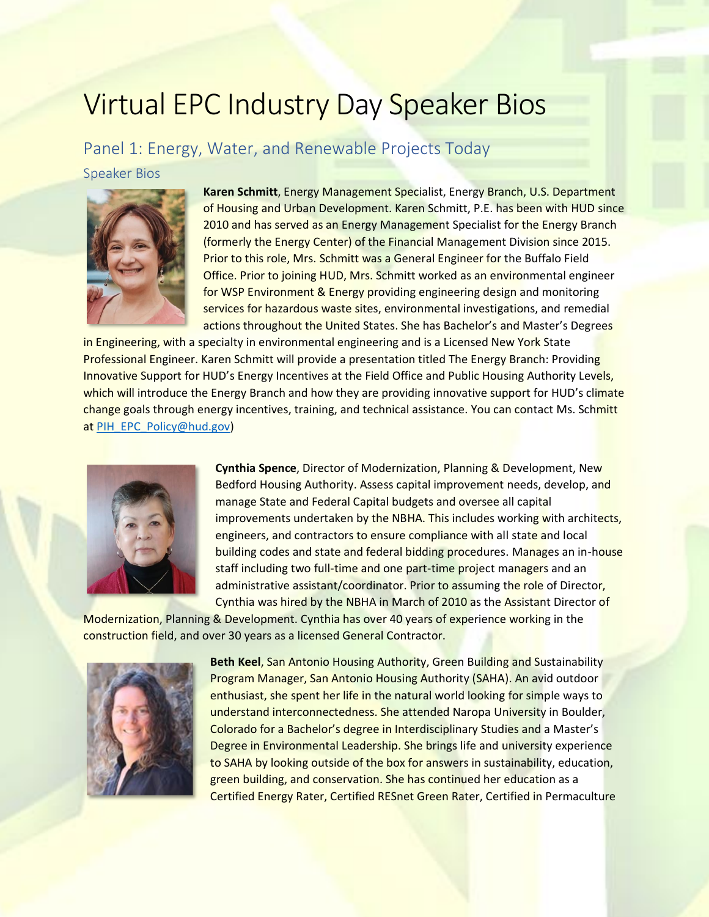# Virtual EPC Industry Day Speaker Bios

## Panel 1: Energy, Water, and Renewable Projects Today

Speaker Bios



**Karen Schmitt**, Energy Management Specialist, Energy Branch, U.S. Department of Housing and Urban Development. Karen Schmitt, P.E. has been with HUD since 2010 and has served as an Energy Management Specialist for the Energy Branch (formerly the Energy Center) of the Financial Management Division since 2015. Prior to this role, Mrs. Schmitt was a General Engineer for the Buffalo Field Office. Prior to joining HUD, Mrs. Schmitt worked as an environmental engineer for WSP Environment & Energy providing engineering design and monitoring services for hazardous waste sites, environmental investigations, and remedial actions throughout the United States. She has Bachelor's and Master's Degrees

in Engineering, with a specialty in environmental engineering and is a Licensed New York State Professional Engineer. Karen Schmitt will provide a presentation titled The Energy Branch: Providing Innovative Support for HUD's Energy Incentives at the Field Office and Public Housing Authority Levels, which will introduce the Energy Branch and how they are providing innovative support for HUD's climate change goals through energy incentives, training, and technical assistance. You can contact Ms. Schmitt at [PIH\\_EPC\\_Policy@hud.gov\)](mailto:PIH_EPC_Policy@hud.gov)



**Cynthia Spence**, Director of Modernization, Planning & Development, New Bedford Housing Authority. Assess capital improvement needs, develop, and manage State and Federal Capital budgets and oversee all capital improvements undertaken by the NBHA. This includes working with architects, engineers, and contractors to ensure compliance with all state and local building codes and state and federal bidding procedures. Manages an in-house staff including two full-time and one part-time project managers and an administrative assistant/coordinator. Prior to assuming the role of Director, Cynthia was hired by the NBHA in March of 2010 as the Assistant Director of

Modernization, Planning & Development. Cynthia has over 40 years of experience working in the construction field, and over 30 years as a licensed General Contractor.



**Beth Keel, San Antonio Housing Authority, Green Building and Sustainability** Program Manager, San Antonio Housing Authority (SAHA). An avid outdoor enthusiast, she spent her life in the natural world looking for simple ways to understand interconnectedness. She attended Naropa University in Boulder, Colorado for a Bachelor's degree in Interdisciplinary Studies and a Master's Degree in Environmental Leadership. She brings life and university experience to SAHA by looking outside of the box for answers in sustainability, education, green building, and conservation. She has continued her education as a Certified Energy Rater, Certified RESnet Green Rater, Certified in Permaculture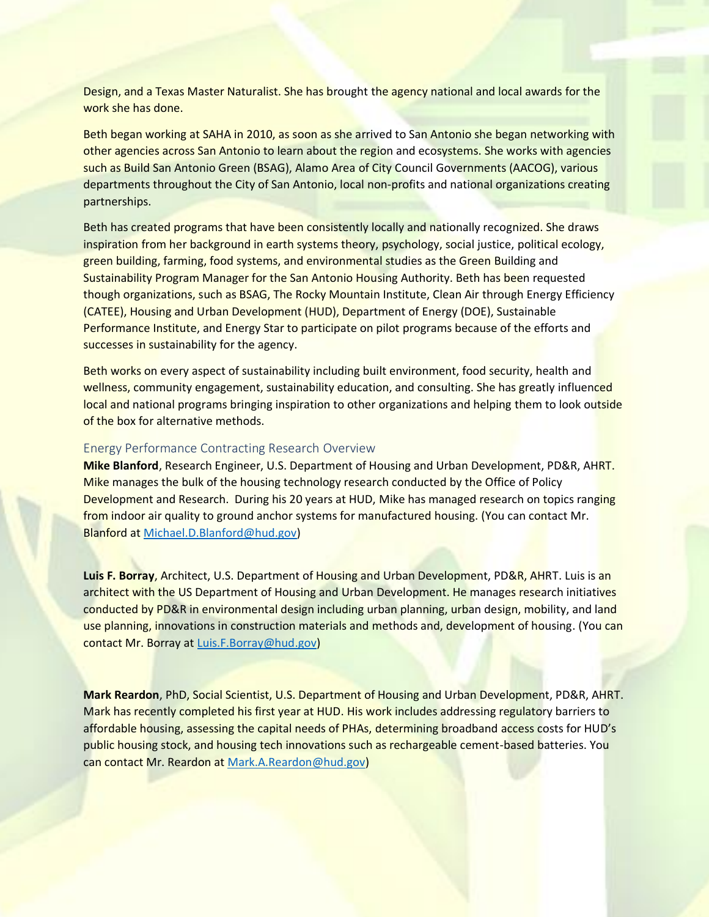Design, and a Texas Master Naturalist. She has brought the agency national and local awards for the work she has done.

Beth began working at SAHA in 2010, as soon as she arrived to San Antonio she began networking with other agencies across San Antonio to learn about the region and ecosystems. She works with agencies such as Build San Antonio Green (BSAG), Alamo Area of City Council Governments (AACOG), various departments throughout the City of San Antonio, local non-profits and national organizations creating partnerships.

Beth has created programs that have been consistently locally and nationally recognized. She draws inspiration from her background in earth systems theory, psychology, social justice, political ecology, green building, farming, food systems, and environmental studies as the Green Building and Sustainability Program Manager for the San Antonio Housing Authority. Beth has been requested though organizations, such as BSAG, The Rocky Mountain Institute, Clean Air through Energy Efficiency (CATEE), Housing and Urban Development (HUD), Department of Energy (DOE), Sustainable Performance Institute, and Energy Star to participate on pilot programs because of the efforts and successes in sustainability for the agency.

Beth works on every aspect of sustainability including built environment, food security, health and wellness, community engagement, sustainability education, and consulting. She has greatly influenced local and national programs bringing inspiration to other organizations and helping them to look outside of the box for alternative methods.

#### Energy Performance Contracting Research Overview

**Mike Blanford**, Research Engineer, U.S. Department of Housing and Urban Development, PD&R, AHRT. Mike manages the bulk of the housing technology research conducted by the Office of Policy Development and Research. During his 20 years at HUD, Mike has managed research on topics ranging from indoor air quality to ground anchor systems for manufactured housing. (You can contact Mr. Blanford at [Michael.D.Blanford@hud.gov\)](mailto:Michael.D.Blanford@hud.gov)

**Luis F. Borray**, Architect, U.S. Department of Housing and Urban Development, PD&R, AHRT. Luis is an architect with the US Department of Housing and Urban Development. He manages research initiatives conducted by PD&R in environmental design including urban planning, urban design, mobility, and land use planning, innovations in construction materials and methods and, development of housing. (You can contact Mr. Borray at [Luis.F.Borray@hud.gov\)](mailto:Luis.F.Borray@hud.gov)

**Mark Reardon**, PhD, Social Scientist, U.S. Department of Housing and Urban Development, PD&R, AHRT. Mark has recently completed his first year at HUD. His work includes addressing regulatory barriers to affordable housing, assessing the capital needs of PHAs, determining broadband access costs for HUD's public housing stock, and housing tech innovations such as rechargeable cement-based batteries. You can contact Mr. Reardon at [Mark.A.Reardon@hud.gov\)](mailto:Mark.A.Reardon@hud.gov)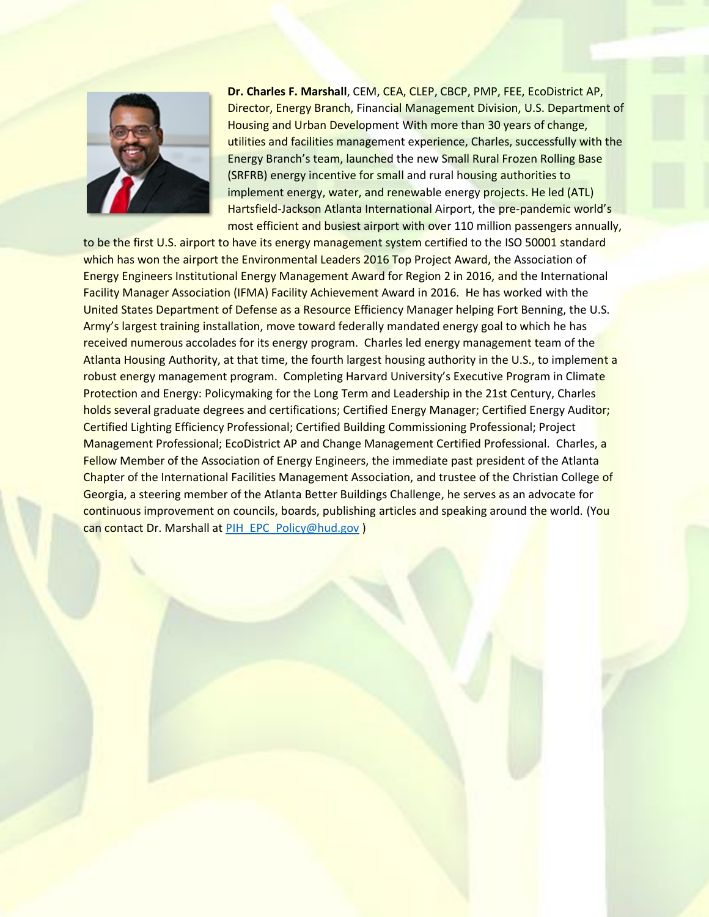

**Dr. Charles F. Marshall**, CEM, CEA, CLEP, CBCP, PMP, FEE, EcoDistrict AP, Director, Energy Branch, Financial Management Division, U.S. Department of Housing and Urban Development With more than 30 years of change, utilities and facilities management experience, Charles, successfully with the Energy Branch's team, launched the new Small Rural Frozen Rolling Base (SRFRB) energy incentive for small and rural housing authorities to implement energy, water, and renewable energy projects. He led (ATL) Hartsfield-Jackson Atlanta International Airport, the pre-pandemic world's most efficient and busiest airport with over 110 million passengers annually,

to be the first U.S. airport to have its energy management system certified to the ISO 50001 standard which has won the airport the Environmental Leaders 2016 Top Project Award, the Association of Energy Engineers Institutional Energy Management Award for Region 2 in 2016, and the International Facility Manager Association (IFMA) Facility Achievement Award in 2016. He has worked with the United States Department of Defense as a Resource Efficiency Manager helping Fort Benning, the U.S. Army's largest training installation, move toward federally mandated energy goal to which he has received numerous accolades for its energy program. Charles led energy management team of the Atlanta Housing Authority, at that time, the fourth largest housing authority in the U.S., to implement a robust energy management program. Completing Harvard University's Executive Program in Climate Protection and Energy: Policymaking for the Long Term and Leadership in the 21st Century, Charles holds several graduate degrees and certifications; Certified Energy Manager; Certified Energy Auditor; Certified Lighting Efficiency Professional; Certified Building Commissioning Professional; Project Management Professional; EcoDistrict AP and Change Management Certified Professional. Charles, a Fellow Member of the Association of Energy Engineers, the immediate past president of the Atlanta Chapter of the International Facilities Management Association, and trustee of the Christian College of Georgia, a steering member of the Atlanta Better Buildings Challenge, he serves as an advocate for continuous improvement on councils, boards, publishing articles and speaking around the world. (You can contact Dr. Marshall at [PIH\\_EPC\\_Policy@hud.gov](mailto:PIH_EPC_Policy@hud.gov) )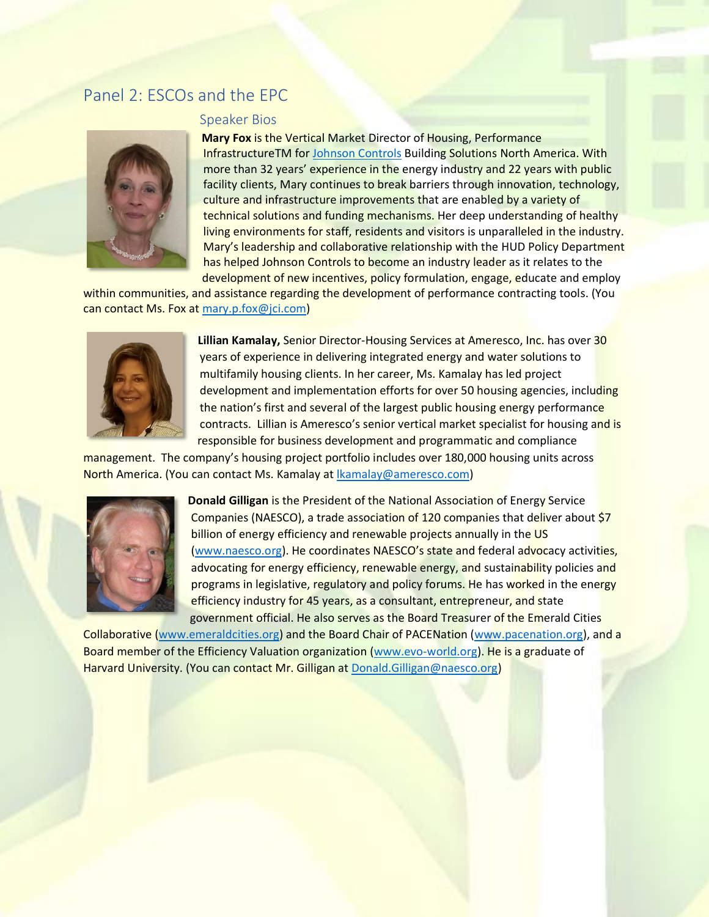## Panel 2: ESCOs and the EPC



#### Speaker Bios

**Mary Fox** is the Vertical Market Director of Housing, Performance InfrastructureTM for [Johnson Controls](http://www.johnsoncontrols.com/) Building Solutions North America. With more than 32 years' experience in the energy industry and 22 years with public facility clients, Mary continues to break barriers through innovation, technology, culture and infrastructure improvements that are enabled by a variety of technical solutions and funding mechanisms. Her deep understanding of healthy living environments for staff, residents and visitors is unparalleled in the industry. Mary's leadership and collaborative relationship with the HUD Policy Department has helped Johnson Controls to become an industry leader as it relates to the development of new incentives, policy formulation, engage, educate and employ

within communities, and assistance regarding the development of performance contracting tools. (You can contact Ms. Fox a[t mary.p.fox@jci.com\)](mailto:mary.p.fox@jci.com)



**Lillian Kamalay,** Senior Director-Housing Services at Ameresco, Inc. has over 30 years of experience in delivering integrated energy and water solutions to multifamily housing clients. In her career, Ms. Kamalay has led project development and implementation efforts for over 50 housing agencies, including the nation's first and several of the largest public housing energy performance contracts. Lillian is Ameresco's senior vertical market specialist for housing and is responsible for business development and programmatic and compliance

management. The company's housing project portfolio includes over 180,000 housing units across North America. (You can contact Ms. Kamalay a[t lkamalay@ameresco.com\)](mailto:lkamalay@ameresco.com)



**Donald Gilligan** is the President of the National Association of Energy Service Companies (NAESCO), a trade association of 120 companies that deliver about \$7 billion of energy efficiency and renewable projects annually in the US [\(www.naesco.org](http://www.naesco.org/)). He coordinates NAESCO's state and federal advocacy activities, advocating for energy efficiency, renewable energy, and sustainability policies and programs in legislative, regulatory and policy forums. He has worked in the energy efficiency industry for 45 years, as a consultant, entrepreneur, and state government official. He also serves as the Board Treasurer of the Emerald Cities

Collaborative [\(www.emeraldcities.org\)](http://www.emeraldcities.org/) and the Board Chair of PACENation [\(www.pacenation.org\)](http://www.pacenation.org/), and a Board member of the Efficiency Valuation organization [\(www.evo-world.org\)](http://www.evo-world.org/). He is a graduate of Harvard University. (You can contact Mr. Gilligan a[t Donald.Gilligan@naesco.org\)](mailto:Donald.Gilligan@naesco.org)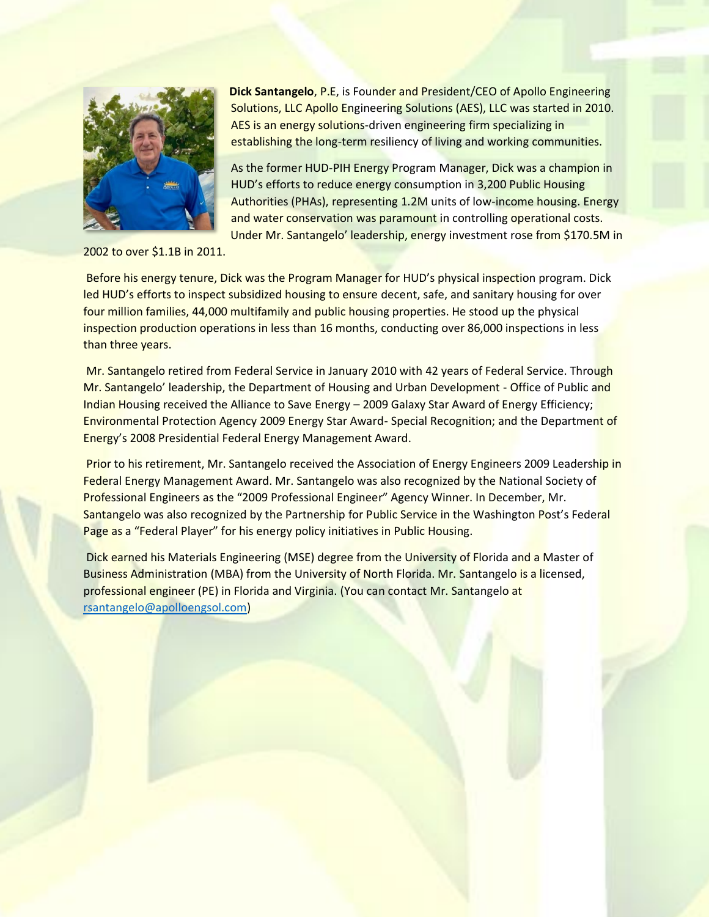

**Dick Santangelo**, P.E, is Founder and President/CEO of Apollo Engineering Solutions, LLC Apollo Engineering Solutions (AES), LLC was started in 2010. AES is an energy solutions-driven engineering firm specializing in establishing the long-term resiliency of living and working communities.

As the former HUD-PIH Energy Program Manager, Dick was a champion in HUD's efforts to reduce energy consumption in 3,200 Public Housing Authorities (PHAs), representing 1.2M units of low-income housing. Energy and water conservation was paramount in controlling operational costs. Under Mr. Santangelo' leadership, energy investment rose from \$170.5M in

2002 to over \$1.1B in 2011.

Before his energy tenure, Dick was the Program Manager for HUD's physical inspection program. Dick led HUD's efforts to inspect subsidized housing to ensure decent, safe, and sanitary housing for over four million families, 44,000 multifamily and public housing properties. He stood up the physical inspection production operations in less than 16 months, conducting over 86,000 inspections in less than three years.

Mr. Santangelo retired from Federal Service in January 2010 with 42 years of Federal Service. Through Mr. Santangelo' leadership, the Department of Housing and Urban Development - Office of Public and Indian Housing received the Alliance to Save Energy – 2009 Galaxy Star Award of Energy Efficiency; Environmental Protection Agency 2009 Energy Star Award- Special Recognition; and the Department of Energy's 2008 Presidential Federal Energy Management Award.

Prior to his retirement, Mr. Santangelo received the Association of Energy Engineers 2009 Leadership in Federal Energy Management Award. Mr. Santangelo was also recognized by the National Society of Professional Engineers as the "2009 Professional Engineer" Agency Winner. In December, Mr. Santangelo was also recognized by the Partnership for Public Service in the Washington Post's Federal Page as a "Federal Player" for his energy policy initiatives in Public Housing.

Dick earned his Materials Engineering (MSE) degree from the University of Florida and a Master of Business Administration (MBA) from the University of North Florida. Mr. Santangelo is a licensed, professional engineer (PE) in Florida and Virginia. (You can contact Mr. Santangelo at [rsantangelo@apolloengsol.com\)](mailto:rsantangelo@apolloengsol.com)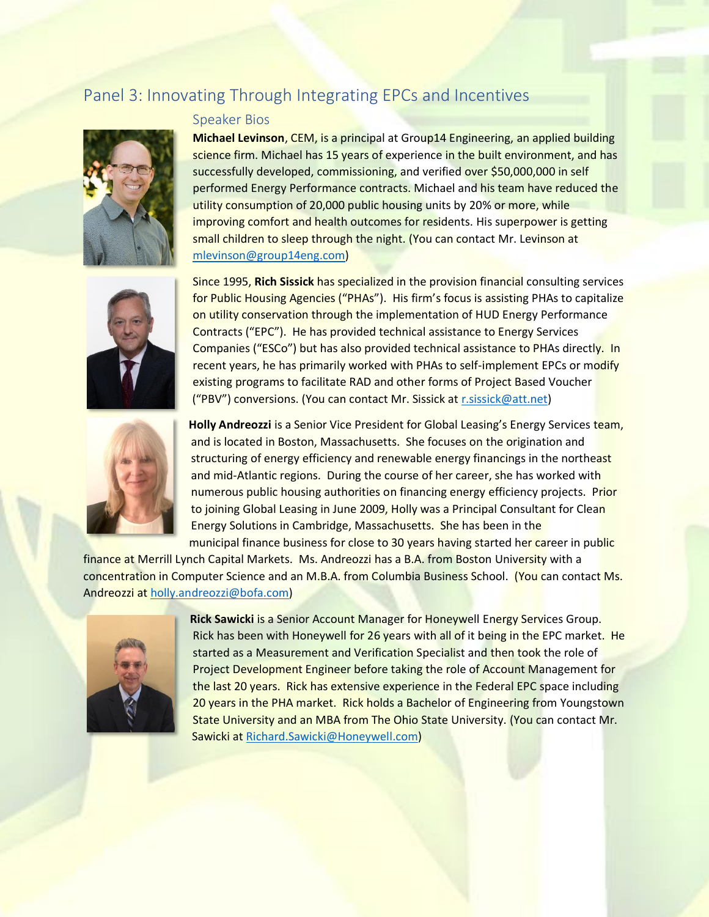## Panel 3: Innovating Through Integrating EPCs and Incentives







#### Speaker Bios

**Michael Levinson**, CEM, is a principal at Group14 Engineering, an applied building science firm. Michael has 15 years of experience in the built environment, and has successfully developed, commissioning, and verified over \$50,000,000 in self performed Energy Performance contracts. Michael and his team have reduced the utility consumption of 20,000 public housing units by 20% or more, while improving comfort and health outcomes for residents. His superpower is getting small children to sleep through the night. (You can contact Mr. Levinson at [mlevinson@group14eng.com\)](mailto:mlevinson@group14eng.com)

Since 1995, **Rich Sissick** has specialized in the provision financial consulting services for Public Housing Agencies ("PHAs"). His firm's focus is assisting PHAs to capitalize on utility conservation through the implementation of HUD Energy Performance Contracts ("EPC"). He has provided technical assistance to Energy Services Companies ("ESCo") but has also provided technical assistance to PHAs directly. In recent years, he has primarily worked with PHAs to self-implement EPCs or modify existing programs to facilitate RAD and other forms of Project Based Voucher ("PBV") conversions. (You can contact Mr. Sissick at [r.sissick@att.net\)](mailto:r.sissick@att.net)

**Holly Andreozzi** is a Senior Vice President for Global Leasing's Energy Services team, and is located in Boston, Massachusetts. She focuses on the origination and structuring of energy efficiency and renewable energy financings in the northeast and mid-Atlantic regions. During the course of her career, she has worked with numerous public housing authorities on financing energy efficiency projects. Prior to joining Global Leasing in June 2009, Holly was a Principal Consultant for Clean Energy Solutions in Cambridge, Massachusetts. She has been in the municipal finance business for close to 30 years having started her career in public

finance at Merrill Lynch Capital Markets. Ms. Andreozzi has a B.A. from Boston University with a concentration in Computer Science and an M.B.A. from Columbia Business School. (You can contact Ms. Andreozzi at [holly.andreozzi@bofa.com\)](mailto:holly.andreozzi@bofa.com)



**Rick Sawicki** is a Senior Account Manager for Honeywell Energy Services Group. Rick has been with Honeywell for 26 years with all of it being in the EPC market. He started as a Measurement and Verification Specialist and then took the role of Project Development Engineer before taking the role of Account Management for the last 20 years. Rick has extensive experience in the Federal EPC space including 20 years in the PHA market. Rick holds a Bachelor of Engineering from Youngstown State University and an MBA from The Ohio State University. (You can contact Mr. Sawicki a[t Richard.Sawicki@Honeywell.com\)](mailto:Richard.Sawicki@Honeywell.com)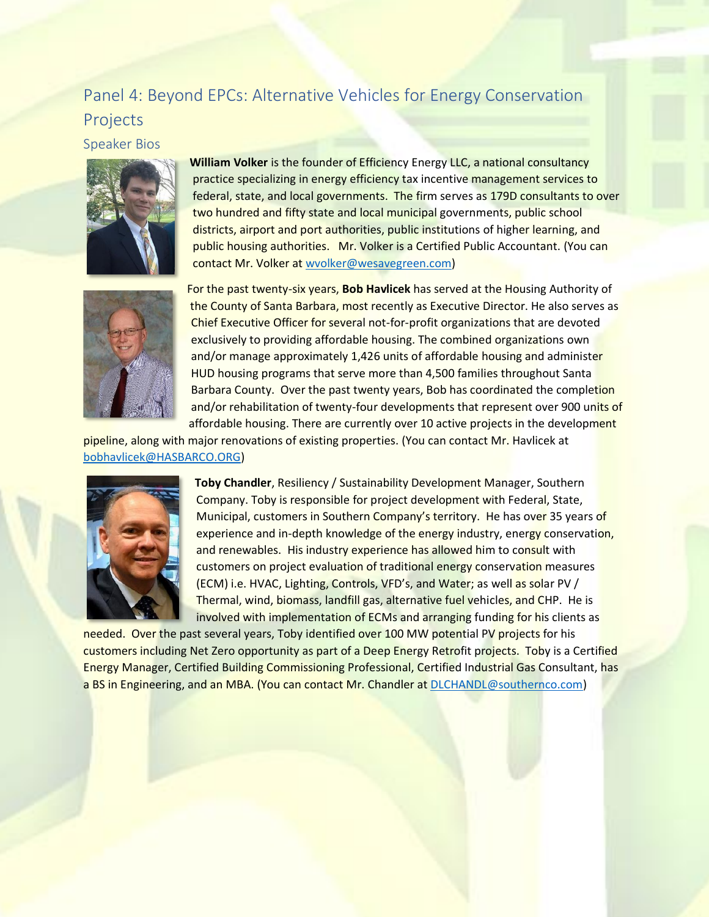## Panel 4: Beyond EPCs: Alternative Vehicles for Energy Conservation Projects

Speaker Bios



**William Volker** is the founder of Efficiency Energy LLC, a national consultancy practice specializing in energy efficiency tax incentive management services to federal, state, and local governments. The firm serves as 179D consultants to over two hundred and fifty state and local municipal governments, public school districts, airport and port authorities, public institutions of higher learning, and public housing authorities. Mr. Volker is a Certified Public Accountant. (You can contact Mr. Volker at [wvolker@wesavegreen.com\)](mailto:wvolker@wesavegreen.com)



For the past twenty-six years, **Bob Havlicek** has served at the Housing Authority of the County of Santa Barbara, most recently as Executive Director. He also serves as Chief Executive Officer for several not-for-profit organizations that are devoted exclusively to providing affordable housing. The combined organizations own and/or manage approximately 1,426 units of affordable housing and administer HUD housing programs that serve more than 4,500 families throughout Santa Barbara County. Over the past twenty years, Bob has coordinated the completion and/or rehabilitation of twenty-four developments that represent over 900 units of affordable housing. There are currently over 10 active projects in the development

pipeline, along with major renovations of existing properties. (You can contact Mr. Havlicek at [bobhavlicek@HASBARCO.ORG\)](mailto:bobhavlicek@HASBARCO.ORG)



**Toby Chandler**, Resiliency / Sustainability Development Manager, Southern Company. Toby is responsible for project development with Federal, State, Municipal, customers in Southern Company's territory. He has over 35 years of experience and in-depth knowledge of the energy industry, energy conservation, and renewables. His industry experience has allowed him to consult with customers on project evaluation of traditional energy conservation measures (ECM) i.e. HVAC, Lighting, Controls, VFD's, and Water; as well as solar PV / Thermal, wind, biomass, landfill gas, alternative fuel vehicles, and CHP. He is involved with implementation of ECMs and arranging funding for his clients as

needed. Over the past several years, Toby identified over 100 MW potential PV projects for his customers including Net Zero opportunity as part of a Deep Energy Retrofit projects. Toby is a Certified Energy Manager, Certified Building Commissioning Professional, Certified Industrial Gas Consultant, has a BS in Engineering, and an MBA. (You can contact Mr. Chandler at [DLCHANDL@southernco.com\)](mailto:DLCHANDL@southernco.com)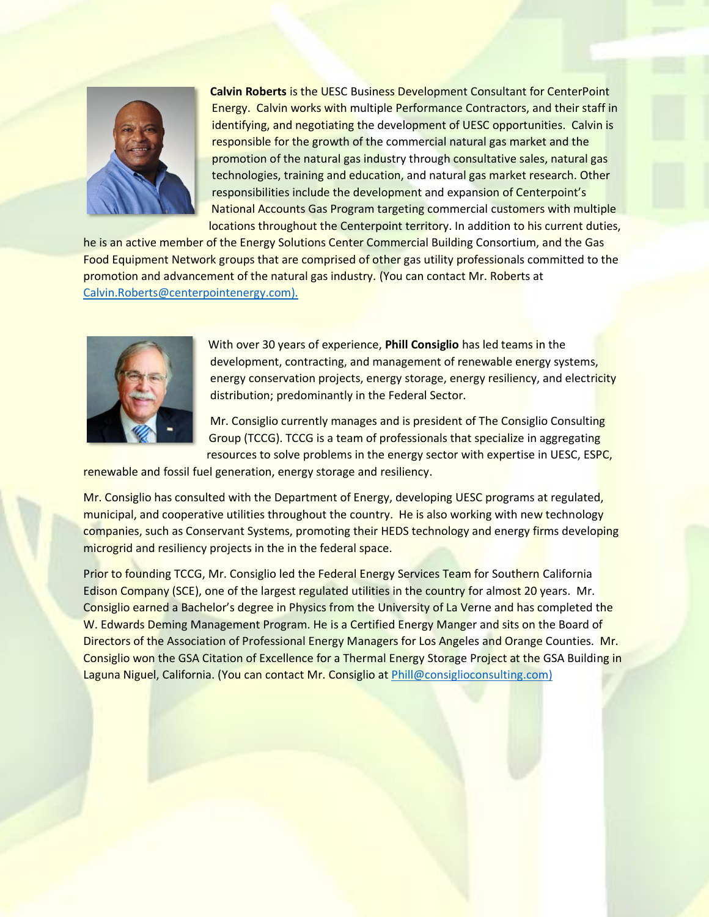

**Calvin Roberts** is the UESC Business Development Consultant for CenterPoint Energy. Calvin works with multiple Performance Contractors, and their staff in identifying, and negotiating the development of UESC opportunities. Calvin is responsible for the growth of the commercial natural gas market and the promotion of the natural gas industry through consultative sales, natural gas technologies, training and education, and natural gas market research. Other responsibilities include the development and expansion of Centerpoint's National Accounts Gas Program targeting commercial customers with multiple locations throughout the Centerpoint territory. In addition to his current duties,

he is an active member of the Energy Solutions Center Commercial Building Consortium, and the Gas Food Equipment Network groups that are comprised of other gas utility professionals committed to the promotion and advancement of the natural gas industry. (You can contact Mr. Roberts at [Calvin.Roberts@centerpointenergy.com\)](mailto:Calvin.Roberts@centerpointenergy.com).



With over 30 years of experience, **Phill Consiglio** has led teams in the development, contracting, and management of renewable energy systems, energy conservation projects, energy storage, energy resiliency, and electricity distribution; predominantly in the Federal Sector.

Mr. Consiglio currently manages and is president of The Consiglio Consulting Group (TCCG). TCCG is a team of professionals that specialize in aggregating resources to solve problems in the energy sector with expertise in UESC, ESPC,

renewable and fossil fuel generation, energy storage and resiliency.

Mr. Consiglio has consulted with the Department of Energy, developing UESC programs at regulated, municipal, and cooperative utilities throughout the country. He is also working with new technology companies, such as Conservant Systems, promoting their HEDS technology and energy firms developing microgrid and resiliency projects in the in the federal space.

Prior to founding TCCG, Mr. Consiglio led the Federal Energy Services Team for Southern California Edison Company (SCE), one of the largest regulated utilities in the country for almost 20 years. Mr. Consiglio earned a Bachelor's degree in Physics from the University of La Verne and has completed the W. Edwards Deming Management Program. He is a Certified Energy Manger and sits on the Board of Directors of the Association of Professional Energy Managers for Los Angeles and Orange Counties. Mr. Consiglio won the GSA Citation of Excellence for a Thermal Energy Storage Project at the GSA Building in Laguna Niguel, California. (You can contact Mr. Consiglio at [Phill@consiglioconsulting.com\)](mailto:Phill@consiglioconsulting.com)